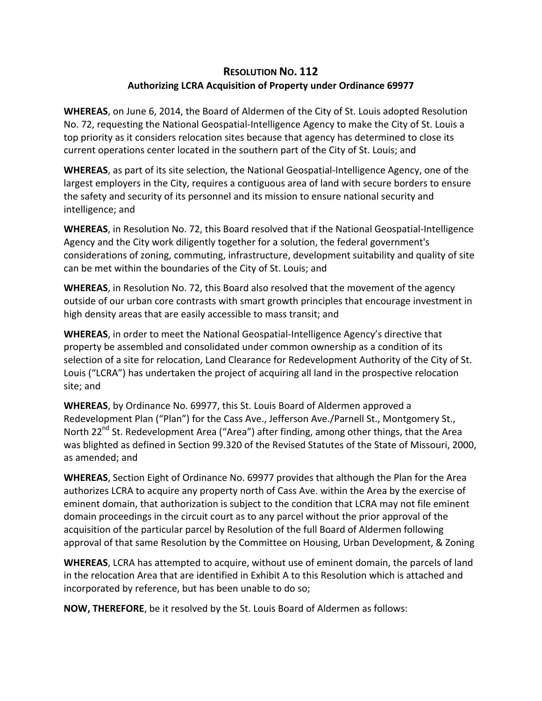## **RESOLUTION NO. 112 Authorizing LCRA Acquisition of Property under Ordinance 69977**

**WHEREAS**, on June 6, 2014, the Board of Aldermen of the City of St. Louis adopted Resolution No. 72, requesting the National Geospatial‐Intelligence Agency to make the City of St. Louis a top priority as it considers relocation sites because that agency has determined to close its current operations center located in the southern part of the City of St. Louis; and

**WHEREAS**, as part of its site selection, the National Geospatial‐Intelligence Agency, one of the largest employers in the City, requires a contiguous area of land with secure borders to ensure the safety and security of its personnel and its mission to ensure national security and intelligence; and

**WHEREAS**, in Resolution No. 72, this Board resolved that if the National Geospatial-Intelligence Agency and the City work diligently together for a solution, the federal government's considerations of zoning, commuting, infrastructure, development suitability and quality of site can be met within the boundaries of the City of St. Louis; and

**WHEREAS**, in Resolution No. 72, this Board also resolved that the movement of the agency outside of our urban core contrasts with smart growth principles that encourage investment in high density areas that are easily accessible to mass transit; and

**WHEREAS**, in order to meet the National Geospatial‐Intelligence Agency's directive that property be assembled and consolidated under common ownership as a condition of its selection of a site for relocation, Land Clearance for Redevelopment Authority of the City of St. Louis ("LCRA") has undertaken the project of acquiring all land in the prospective relocation site; and

**WHEREAS**, by Ordinance No. 69977, this St. Louis Board of Aldermen approved a Redevelopment Plan ("Plan") for the Cass Ave., Jefferson Ave./Parnell St., Montgomery St., North 22<sup>nd</sup> St. Redevelopment Area ("Area") after finding, among other things, that the Area was blighted as defined in Section 99.320 of the Revised Statutes of the State of Missouri, 2000, as amended; and

**WHEREAS**, Section Eight of Ordinance No. 69977 provides that although the Plan for the Area authorizes LCRA to acquire any property north of Cass Ave. within the Area by the exercise of eminent domain, that authorization is subject to the condition that LCRA may not file eminent domain proceedings in the circuit court as to any parcel without the prior approval of the acquisition of the particular parcel by Resolution of the full Board of Aldermen following approval of that same Resolution by the Committee on Housing, Urban Development, & Zoning

**WHEREAS**, LCRA has attempted to acquire, without use of eminent domain, the parcels of land in the relocation Area that are identified in Exhibit A to this Resolution which is attached and incorporated by reference, but has been unable to do so;

**NOW, THEREFORE**, be it resolved by the St. Louis Board of Aldermen as follows: